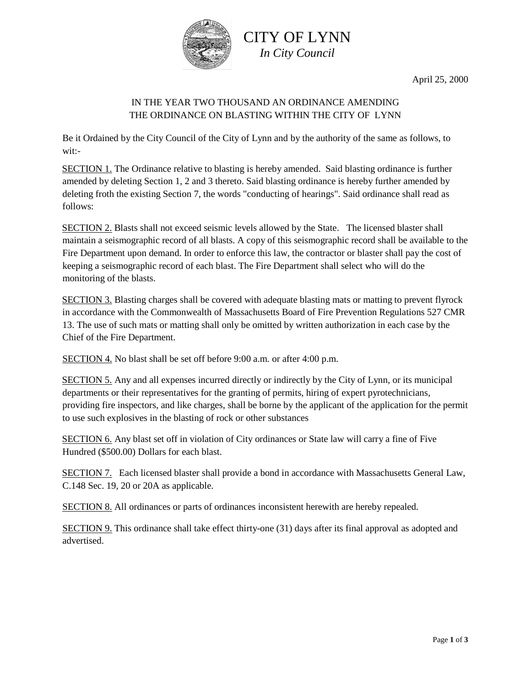

April 25, 2000

## IN THE YEAR TWO THOUSAND AN ORDINANCE AMENDING THE ORDINANCE ON BLASTING WITHIN THE CITY OF LYNN

Be it Ordained by the City Council of the City of Lynn and by the authority of the same as follows, to wit:-

SECTION 1. The Ordinance relative to blasting is hereby amended. Said blasting ordinance is further amended by deleting Section 1, 2 and 3 thereto. Said blasting ordinance is hereby further amended by deleting froth the existing Section 7, the words "conducting of hearings". Said ordinance shall read as follows:

SECTION 2. Blasts shall not exceed seismic levels allowed by the State. The licensed blaster shall maintain a seismographic record of all blasts. A copy of this seismographic record shall be available to the Fire Department upon demand. In order to enforce this law, the contractor or blaster shall pay the cost of keeping a seismographic record of each blast. The Fire Department shall select who will do the monitoring of the blasts.

SECTION 3. Blasting charges shall be covered with adequate blasting mats or matting to prevent flyrock in accordance with the Commonwealth of Massachusetts Board of Fire Prevention Regulations 527 CMR 13. The use of such mats or matting shall only be omitted by written authorization in each case by the Chief of the Fire Department.

SECTION 4. No blast shall be set off before 9:00 a.m. or after 4:00 p.m.

SECTION 5. Any and all expenses incurred directly or indirectly by the City of Lynn, or its municipal departments or their representatives for the granting of permits, hiring of expert pyrotechnicians, providing fire inspectors, and like charges, shall be borne by the applicant of the application for the permit to use such explosives in the blasting of rock or other substances

SECTION 6. Any blast set off in violation of City ordinances or State law will carry a fine of Five Hundred (\$500.00) Dollars for each blast.

SECTION 7.Each licensed blaster shall provide a bond in accordance with Massachusetts General Law, C.148 Sec. 19, 20 or 20A as applicable.

SECTION 8. All ordinances or parts of ordinances inconsistent herewith are hereby repealed.

SECTION 9. This ordinance shall take effect thirty-one (31) days after its final approval as adopted and advertised.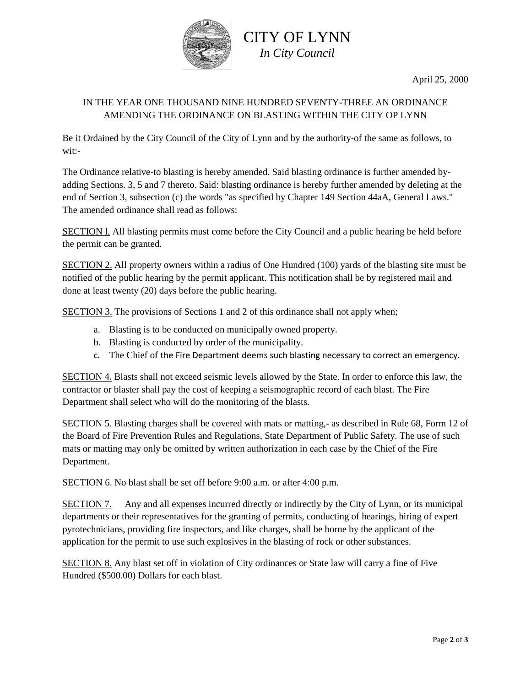

## IN THE YEAR ONE THOUSAND NINE HUNDRED SEVENTY-THREE AN ORDINANCE AMENDING THE ORDINANCE ON BLASTING WITHIN THE CITY OP LYNN

Be it Ordained by the City Council of the City of Lynn and by the authority-of the same as follows, to wit:-

The Ordinance relative-to blasting is hereby amended. Said blasting ordinance is further amended byadding Sections. 3, 5 and 7 thereto. Said: blasting ordinance is hereby further amended by deleting at the end of Section 3, subsection (c) the words "as specified by Chapter 149 Section 44aA, General Laws." The amended ordinance shall read as follows:

SECTION l. All blasting permits must come before the City Council and a public hearing be held before the permit can be granted.

SECTION 2. All property owners within a radius of One Hundred (100) yards of the blasting site must be notified of the public hearing by the permit applicant. This notification shall be by registered mail and done at least twenty (20) days before the public hearing.

SECTION 3. The provisions of Sections 1 and 2 of this ordinance shall not apply when;

- a. Blasting is to be conducted on municipally owned property.
- b. Blasting is conducted by order of the municipality.
- c. The Chief of the Fire Department deems such blasting necessary to correct an emergency.

SECTION 4. Blasts shall not exceed seismic levels allowed by the State. In order to enforce this law, the contractor or blaster shall pay the cost of keeping a seismographic record of each blast. The Fire Department shall select who will do the monitoring of the blasts.

SECTION 5. Blasting charges shall be covered with mats or matting,- as described in Rule 68, Form 12 of the Board of Fire Prevention Rules and Regulations, State Department of Public Safety. The use of such mats or matting may only be omitted by written authorization in each case by the Chief of the Fire Department.

SECTION 6. No blast shall be set off before 9:00 a.m. or after 4:00 p.m.

SECTION 7. Any and all expenses incurred directly or indirectly by the City of Lynn, or its municipal departments or their representatives for the granting of permits, conducting of hearings, hiring of expert pyrotechnicians, providing fire inspectors, and like charges, shall be borne by the applicant of the application for the permit to use such explosives in the blasting of rock or other substances.

SECTION 8. Any blast set off in violation of City ordinances or State law will carry a fine of Five Hundred (\$500.00) Dollars for each blast.